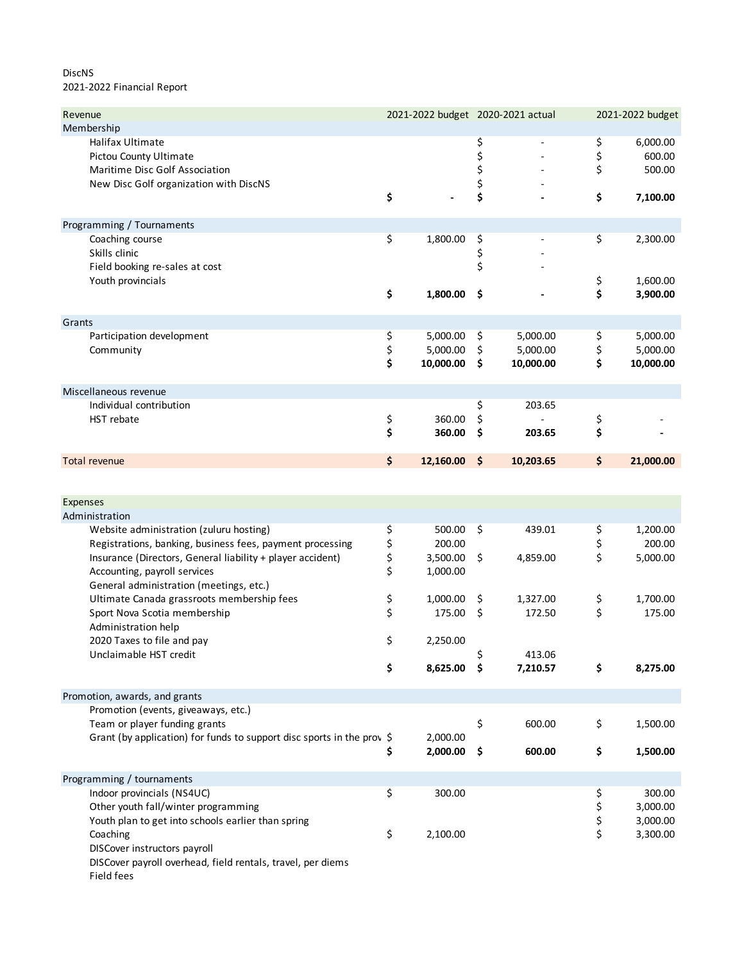## DiscNS 2021-2022 Financial Report

| Revenue                                                                                                                | 2021-2022 budget 2020-2021 actual |                                   |                      |                                   |                | 2021-2022 budget                  |  |
|------------------------------------------------------------------------------------------------------------------------|-----------------------------------|-----------------------------------|----------------------|-----------------------------------|----------------|-----------------------------------|--|
| Membership                                                                                                             |                                   |                                   |                      |                                   |                |                                   |  |
| Halifax Ultimate<br>Pictou County Ultimate<br>Maritime Disc Golf Association<br>New Disc Golf organization with DiscNS |                                   |                                   | \$<br>\$<br>\$<br>\$ |                                   | \$<br>\$<br>\$ | 6,000.00<br>600.00<br>500.00      |  |
|                                                                                                                        | \$                                |                                   | \$                   |                                   | \$             | 7,100.00                          |  |
| Programming / Tournaments                                                                                              |                                   |                                   |                      |                                   |                |                                   |  |
| Coaching course<br>Skills clinic<br>Field booking re-sales at cost<br>Youth provincials                                | \$                                | 1,800.00                          | \$<br>\$<br>\$       |                                   | \$<br>\$       | 2,300.00<br>1,600.00              |  |
|                                                                                                                        | \$                                | 1,800.00                          | \$                   |                                   | \$             | 3,900.00                          |  |
| Grants                                                                                                                 |                                   |                                   |                      |                                   |                |                                   |  |
| Participation development<br>Community                                                                                 | \$<br>\$<br>\$                    | 5,000.00<br>5,000.00<br>10,000.00 | \$<br>\$<br>\$       | 5,000.00<br>5,000.00<br>10,000.00 | \$<br>\$<br>\$ | 5,000.00<br>5,000.00<br>10,000.00 |  |
| Miscellaneous revenue                                                                                                  |                                   |                                   |                      |                                   |                |                                   |  |
| Individual contribution                                                                                                |                                   |                                   | \$                   | 203.65                            |                |                                   |  |
| HST rebate                                                                                                             | \$                                | 360.00                            | \$                   |                                   | \$             |                                   |  |
|                                                                                                                        | \$                                | 360.00                            | \$                   | 203.65                            | \$             |                                   |  |
| <b>Total revenue</b>                                                                                                   | \$                                | 12,160.00                         | \$                   | 10,203.65                         | \$             | 21,000.00                         |  |
|                                                                                                                        |                                   |                                   |                      |                                   |                |                                   |  |
| Expenses                                                                                                               |                                   |                                   |                      |                                   |                |                                   |  |
| Administration                                                                                                         |                                   |                                   |                      |                                   |                |                                   |  |
| Website administration (zuluru hosting)                                                                                | \$                                | 500.00                            | \$                   | 439.01                            | \$             | 1,200.00                          |  |
| Registrations, banking, business fees, payment processing                                                              | \$                                | 200.00                            |                      |                                   | \$             | 200.00                            |  |
| Insurance (Directors, General liability + player accident)<br>Accounting, payroll services                             | \$<br>\$                          | 3,500.00<br>1,000.00              | \$                   | 4,859.00                          | \$             | 5,000.00                          |  |
| General administration (meetings, etc.)<br>Ultimate Canada grassroots membership fees                                  | \$                                | 1,000.00                          | \$                   | 1,327.00                          |                | 1,700.00                          |  |
| Sport Nova Scotia membership                                                                                           | \$                                | 175.00                            | \$                   | 172.50                            | \$<br>\$       | 175.00                            |  |
| Administration help                                                                                                    |                                   |                                   |                      |                                   |                |                                   |  |
| 2020 Taxes to file and pay                                                                                             | \$                                | 2,250.00                          |                      |                                   |                |                                   |  |
| Unclaimable HST credit                                                                                                 |                                   |                                   |                      | 413.06                            |                |                                   |  |
|                                                                                                                        | \$                                | 8,625.00                          | \$                   | 7,210.57                          | \$             | 8,275.00                          |  |
| Promotion, awards, and grants                                                                                          |                                   |                                   |                      |                                   |                |                                   |  |
| Promotion (events, giveaways, etc.)                                                                                    |                                   |                                   |                      |                                   |                |                                   |  |
| Team or player funding grants                                                                                          |                                   |                                   | \$                   | 600.00                            | \$             | 1,500.00                          |  |
| Grant (by application) for funds to support disc sports in the prov \$                                                 | \$                                | 2,000.00<br>2,000.00              | \$                   | 600.00                            | \$             | 1,500.00                          |  |
| Programming / tournaments                                                                                              |                                   |                                   |                      |                                   |                |                                   |  |
| Indoor provincials (NS4UC)                                                                                             | \$                                | 300.00                            |                      |                                   | \$             | 300.00                            |  |
| Other youth fall/winter programming                                                                                    |                                   |                                   |                      |                                   | \$             | 3,000.00                          |  |
| Youth plan to get into schools earlier than spring                                                                     |                                   |                                   |                      |                                   | \$             | 3,000.00                          |  |
| Coaching<br>DISCover instructors payroll<br>DISCover payroll overhead, field rentals, travel, per diems                | \$                                | 2,100.00                          |                      |                                   | \$             | 3,300.00                          |  |

Field fees